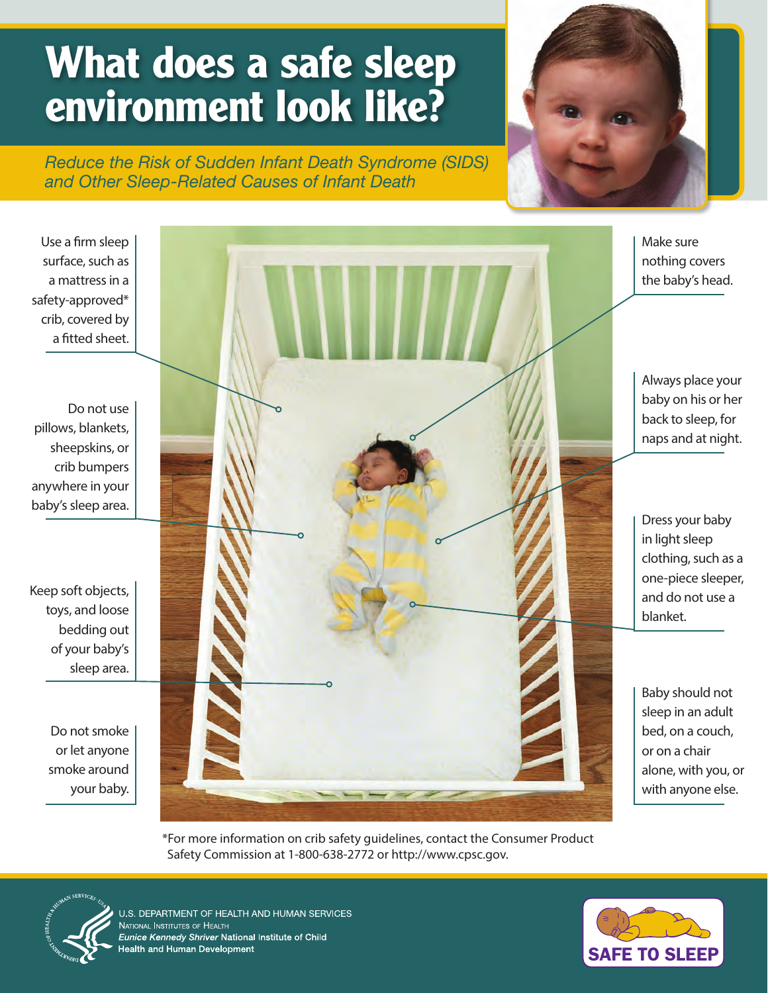## **What does a safe sleep environment look like?**

*Reduce the Risk of Sudden Infant Death Syndrome (SIDS) and Other Sleep-Related Causes of Infant Death*



Use a firm sleep surface, such as a mattress in a safety-approved\* crib, covered by a fitted sheet. Do not use pillows, blankets, sheepskins, or crib bumpers anywhere in your baby's sleep area. Keep soft objects, toys, and loose bedding out of your baby's sleep area. Do not smoke or let anyone smoke around your baby. Make sure nothing covers the baby's head. Always place your baby on his or her back to sleep, for naps and at night. Dress your baby in light sleep clothing, such as a one-piece sleeper, and do not use a blanket. Baby should not sleep in an adult bed, on a couch, or on a chair alone, with you, or with anyone else.

> \*For more information on crib safety guidelines, contact the Consumer Product Safety Commission at 1-800-638-2772 or [http://www.cpsc.gov.](http://www.cpsc.gov)



J.S. DEPARTMENT OF HEALTH AND HUMAN SERVICES **JATIONAL INSTITUTES OF HEALTH** ice Kennedy Shriver National Institute of Child Ith and Human Development